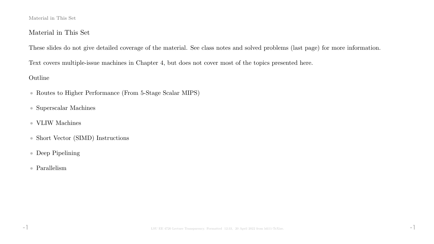#### Material in This Set

### Material in This Set

These slides do not give detailed coverage of the material. See class notes and solved problems (last page) for more information.

Text covers multiple-issue machines in Chapter 4, but does not cover most of the topics presented here.

### Outline

- Routes to Higher Performance (From 5-Stage Scalar MIPS)
- Superscalar Machines
- $\bullet\,$  VLIW Machines
- Short Vector (SIMD) Instructions
- Deep Pipelining
- Parallelism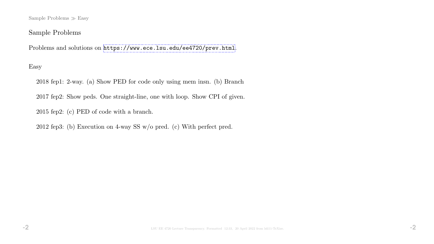Sample Problems  $\gg$  Easy

## Sample Problems

Problems and solutions on <https://www.ece.lsu.edu/ee4720/prev.html>.

## Easy

2018 fep1: 2-way. (a) Show PED for code only using mem insn. (b) Branch

2017 fep2: Show peds. One straight-line, one with loop. Show CPI of given.

2015 fep2: (c) PED of code with a branch.

2012 fep3: (b) Execution on 4-way SS w/o pred. (c) With perfect pred.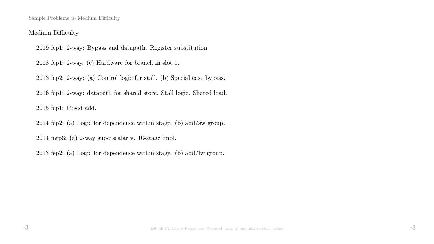Sample Problems  $\gg$  Medium Difficulty

### Medium Difficulty

2019 fep1: 2-way: Bypass and datapath. Register substitution.

2018 fep1: 2-way. (c) Hardware for branch in slot 1.

2013 fep2: 2-way: (a) Control logic for stall. (b) Special case bypass.

2016 fep1: 2-way: datapath for shared store. Stall logic. Shared load.

2015 fep1: Fused add.

2014 fep2: (a) Logic for dependence within stage. (b) add/sw group.

2014 mtp6: (a) 2-way superscalar v. 10-stage impl.

2013 fep2: (a) Logic for dependence within stage. (b) add/lw group.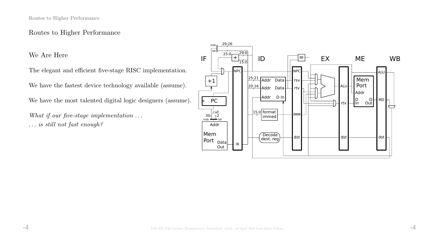## Routes to Higher Performance

We Are Here

The elegant and efficient five-stage RISC implementation.

We have the fastest device technology available (assume).

We have the most talented digital logic designers (assume).

What if our five-stage implementation ... . . . is still not fast enough?

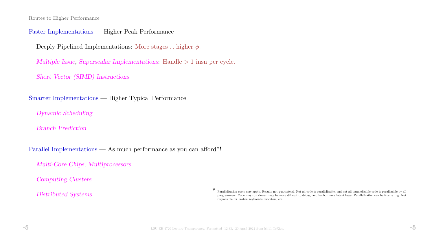Routes to Higher Performance

#### Faster Implementations — Higher Peak Performance

Deeply Pipelined Implementations: More stages ∴ higher  $\phi$ .

Multiple Issue, Superscalar Implementations: Handle > 1 insn per cycle.

Short Vector (SIMD) Instructions

Smarter Implementations — Higher Typical Performance

Dynamic Scheduling

Branch Prediction

Parallel Implementations — As much performance as you can afford\*!

Multi-Core Chips, Multiprocessors

Computing Clusters

Distributed Systems

\* Parallelization costs may apply. Results not guaranteed. Not all code is parallelizable, and not all parallelizable code is parallizable by all programmers. Code may run slower, may be more difficult to debug, and harbor more latent bugs. Parallelization can be frustrating. Not responsible for broken keyboards, monitors, etc.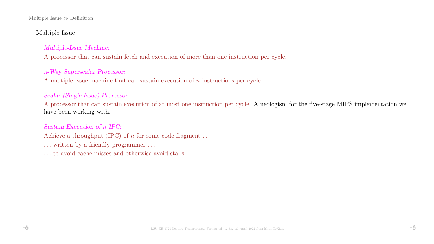#### Multiple Issue  $\gg$  Definition

### Multiple Issue

### Multiple-Issue Machine:

A processor that can sustain fetch and execution of more than one instruction per cycle.

### n-Way Superscalar Processor:

A multiple issue machine that can sustain execution of n instructions per cycle.

### Scalar (Single-Issue) Processor:

A processor that can sustain execution of at most one instruction per cycle. A neologism for the five-stage MIPS implementation we have been working with.

### Sustain Execution of n IPC:

Achieve a throughput (IPC) of  $n$  for some code fragment ...

- ... written by a friendly programmer ...
- . . . to avoid cache misses and otherwise avoid stalls.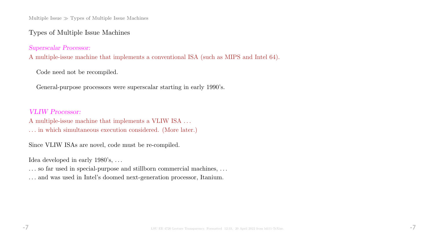Multiple Issue  $\gg$  Types of Multiple Issue Machines

### Types of Multiple Issue Machines

Superscalar Processor:

A multiple-issue machine that implements a conventional ISA (such as MIPS and Intel 64).

Code need not be recompiled.

General-purpose processors were superscalar starting in early 1990's.

### VLIW Processor:

A multiple-issue machine that implements a VLIW ISA . . .

. . . in which simultaneous execution considered. (More later.)

Since VLIW ISAs are novel, code must be re-compiled.

Idea developed in early 1980's, ...

... so far used in special-purpose and stillborn commercial machines, ...

. . . and was used in Intel's doomed next-generation processor, Itanium.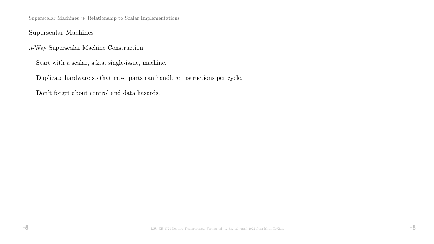Superscalar Machines  $\gg$  Relationship to Scalar Implementations

## Superscalar Machines

n-Way Superscalar Machine Construction

Start with a scalar, a.k.a. single-issue, machine.

Duplicate hardware so that most parts can handle  $n$  instructions per cycle.

Don't forget about control and data hazards.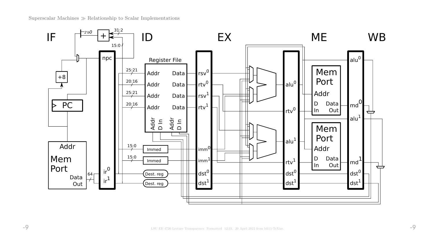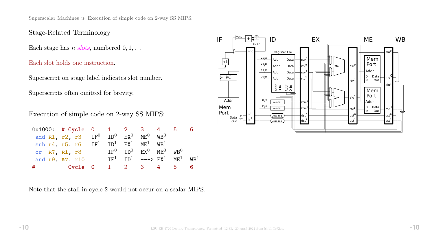# Stage-Related Terminology

Each stage has *n* slots, numbered  $0, 1, \ldots$ 

Each slot holds one instruction.

Superscript on stage label indicates slot number.

Superscripts often omitted for brevity.

Execution of simple code on 2-way SS MIPS:

|   | $0x1000:$ # Cycle 0 1 2 3 4 5                             |  |                                                               |  |  |
|---|-----------------------------------------------------------|--|---------------------------------------------------------------|--|--|
|   | add $R1$ , $r2$ , $r3$ $IF^0$ $ID^0$ $EX^0$ $ME^0$ $WB^0$ |  |                                                               |  |  |
|   | sub r4, r5, r6 $IF^1$ $ID^1$ $EX^1$ $ME^1$ $WB^1$         |  |                                                               |  |  |
|   | or R7, R1, r8                                             |  | $TF^0$ TD <sup>0</sup> $FX^0$ MF <sub>0</sub> MB <sub>0</sub> |  |  |
|   | and r9, R7, r10                                           |  | $TF^1$ $TD^1$ ---> $FX^1$ $MF^1$ $WR^1$                       |  |  |
| # | <b>Example 1</b> Cycle 0                                  |  | 1 2 3 4 5                                                     |  |  |

Note that the stall in cycle 2 would not occur on a scalar MIPS.

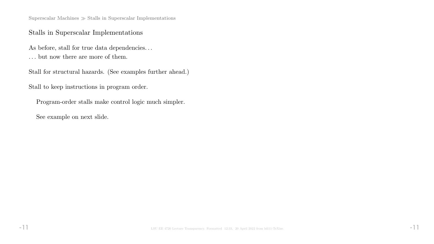Superscalar Machines  $\gg$  Stalls in Superscalar Implementations

## Stalls in Superscalar Implementations

As before, stall for true data dependencies...  $\dots$  but now there are more of them.

Stall for structural hazards. (See examples further ahead.)

Stall to keep instructions in program order.

Program-order stalls make control logic much simpler.

See example on next slide.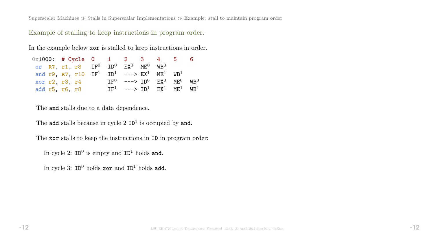Superscalar Machines  $\gg$  Stalls in Superscalar Implementations  $\gg$  Example: stall to maintain program order

Example of stalling to keep instructions in program order.

In the example below xor is stalled to keep instructions in order.

| $0 \times 1000$ : # Cycle 0 1 2 3 4 5 |                                                                                    |  |                                         |  |  |
|---------------------------------------|------------------------------------------------------------------------------------|--|-----------------------------------------|--|--|
|                                       | or $R7$ , r1, r8 $IF^0$ $ID^0$ $EX^0$ $ME^0$ $WB^0$                                |  |                                         |  |  |
|                                       | and r9, R7, r10 $IF^1$ ID <sup>1</sup> ---> $EX^1$ ME <sup>1</sup> WB <sup>1</sup> |  |                                         |  |  |
| xor r2, r3, r4                        |                                                                                    |  | $TF^0$ ---> $TD^0$ $FX^0$ $MF^0$ $WR^0$ |  |  |
| add r5, r6, r8                        |                                                                                    |  | $TF1$ ---> $TD1$ $FX1$ $MF1$ $WR1$      |  |  |

The and stalls due to a data dependence.

The add stalls because in cycle  $2$  ID<sup>1</sup> is occupied by and.

The xor stalls to keep the instructions in ID in program order:

In cycle 2:  $ID^0$  is empty and  $ID^1$  holds and.

In cycle 3:  $ID^0$  holds  $xor$  and  $ID^1$  holds add.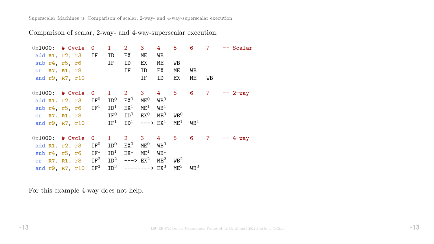Superscalar Machines  $\gg$  Comparison of scalar, 2-way- and 4-way-superscalar execution.

Comparison of scalar, 2-way- and 4-way-superscalar execution.

| $0x1000:$ # Cycle |                                        | $\overline{0}$  | $\mathbf 1$           | 2 <sup>7</sup>          | 3 <sup>1</sup>  | 4 <sup>1</sup>  | 5 <sup>5</sup>   | $6^{\circ}$      | $\overline{7}$ | -- Scalar      |
|-------------------|----------------------------------------|-----------------|-----------------------|-------------------------|-----------------|-----------------|------------------|------------------|----------------|----------------|
|                   | add R1, r2, r3 IF                      |                 | ID                    | EX                      | ME.             | WB              |                  |                  |                |                |
|                   | sub $r4, r5, r6$                       |                 | IF                    | ID                      | EX              | ME              | WB               |                  |                |                |
|                   | or R7, R1, r8                          |                 |                       | IF                      | ID              | EX              | МE               | WB               |                |                |
|                   | and r9, R7, r10                        |                 |                       |                         | IF              | ID              | EX               | ME               | WB             |                |
| $0x1000:$ # Cycle |                                        | $\overline{O}$  | $1 \quad$             | $2 \quad 3$             |                 |                 |                  | 4 5 6 7          |                | $-- 2-way$     |
|                   | add R1, r2, r3                         | $\mathtt{IF}^0$ | $\mathtt{ID}^0$       | $EX^0$                  | $ME^{0}$        | $\mathtt{WB}^0$ |                  |                  |                |                |
|                   | sub $r4$ , $r5$ , $r6$ IF <sup>1</sup> |                 | ID <sup>1</sup>       | $EX^1$                  | $\mathtt{ME}^1$ | $W\text{B}^1$   |                  |                  |                |                |
|                   | or <b>R7, R1,</b> r8                   |                 | $\mathtt{IF}^0$       | $\mathtt{ID}^0$         | $\mathsf{EX}^0$ | $ME^0$          | $W\text{B}^0$    |                  |                |                |
|                   | and r9, R7, r10                        |                 | $\operatorname{IF}^1$ | ${\tt ID}^1$            | $---> EX1$      |                 | $ME^{1}$         | $W\text{B}^1$    |                |                |
| $0x1000:$ # Cycle |                                        | $\overline{0}$  | $1 \quad$             | $2^{\circ}$             | 3 <sup>7</sup>  | $4\overline{ }$ |                  |                  |                | 5 6 7 -- 4-way |
| add R1, r2, r3    |                                        | $\mathtt{IF}^0$ | $\mathtt{ID}^0$       | $EX^0$                  | $ME^{0}$        | $W\text{B}^0$   |                  |                  |                |                |
| sub r4, r5, r6    |                                        | IF <sup>1</sup> | ID <sup>1</sup>       | $EX^1$                  | $\mathtt{ME}^1$ | $W\text{B}^1$   |                  |                  |                |                |
|                   | or R7, R1, r8                          | $\mathtt{IF}^2$ | ${\tt ID}^2$          | $---> EX2$              |                 | $\mathtt{ME}^2$ | W B <sup>2</sup> |                  |                |                |
|                   | and r9, R7, r10                        | IF <sup>3</sup> |                       | $ID^3$ --------> $EX^3$ |                 |                 | $ME^3$           | W B <sup>3</sup> |                |                |

For this example 4-way does not help.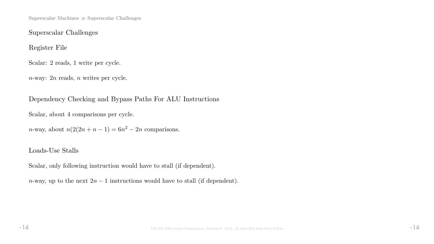Superscalar Machines  $\gg$  Superscalar Challenges

Superscalar Challenges

Register File

Scalar: 2 reads, 1 write per cycle.

n-way: 2n reads, n writes per cycle.

Dependency Checking and Bypass Paths For ALU Instructions

Scalar, about 4 comparisons per cycle.

n-way, about  $n(2(2n+n-1) = 6n^2 - 2n$  comparisons.

## Loads-Use Stalls

Scalar, only following instruction would have to stall (if dependent).

n-way, up to the next  $2n-1$  instructions would have to stall (if dependent).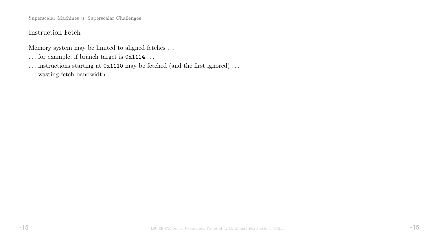Superscalar Machines  $\gg$  Superscalar Challenges

# Instruction Fetch

Memory system may be limited to aligned fetches . . .

- $\ldots$  for example, if branch target is  $0x1114 \ldots$
- ... instructions starting at  $0x1110$  may be fetched (and the first ignored) ...
- $\ldots$  wasting fetch bandwidth.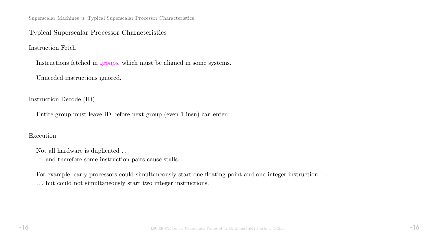Superscalar Machines  $\gg$  Typical Superscalar Processor Characteristics

### Typical Superscalar Processor Characteristics

Instruction Fetch

Instructions fetched in groups, which must be aligned in some systems.

Unneeded instructions ignored.

Instruction Decode (ID)

Entire group must leave ID before next group (even 1 insn) can enter.

### Execution

Not all hardware is duplicated  $\ldots$ 

 $\ldots$  and therefore some instruction pairs cause stalls.

For example, early processors could simultaneously start one floating-point and one integer instruction ... . . . but could not simultaneously start two integer instructions.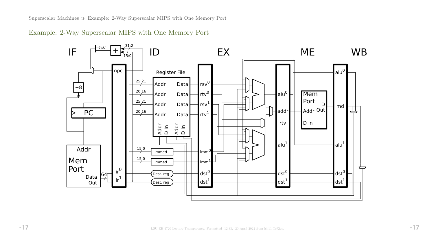Superscalar Machines Example: 2-Way Superscalar MIPS with One Memory Port

Example: 2-Way Superscalar MIPS with One Memory Port

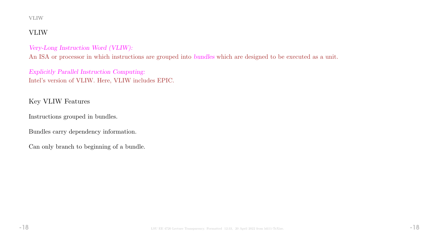#### VLIW

# VLIW

### Very-Long Instruction Word (VLIW):

An ISA or processor in which instructions are grouped into bundles which are designed to be executed as a unit.

Explicitly Parallel Instruction Computing: Intel's version of VLIW. Here, VLIW includes EPIC.

# Key VLIW Features

Instructions grouped in bundles.

Bundles carry dependency information.

Can only branch to beginning of a bundle.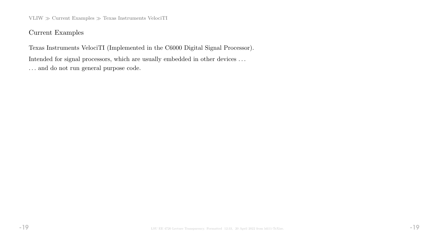$VLIW \gg Current$  Examples  $\gg$  Texas Instruments VelociTI

Current Examples

Texas Instruments VelociTI (Implemented in the C6000 Digital Signal Processor). Intended for signal processors, which are usually embedded in other devices . . . . . . and do not run general purpose code.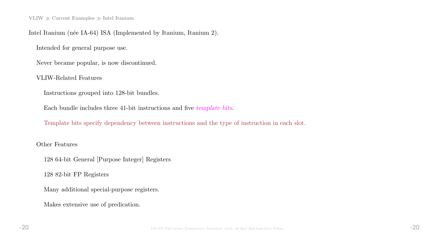VLIW  $\gg$  Current Examples  $\gg$  Intel Itanium

### Intel Itanium (née IA-64) ISA (Implemented by Itanium, Itanium 2).

Intended for general purpose use.

Never became popular, is now discontinued.

#### VLIW-Related Features

Instructions grouped into 128-bit bundles.

Each bundle includes three 41-bit instructions and five template bits.

Template bits specify dependency between instructions and the type of instruction in each slot.

#### Other Features

128 64-bit General [Purpose Integer] Registers

128 82-bit FP Registers

Many additional special-purpose registers.

Makes extensive use of predication.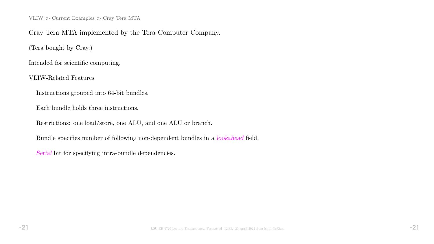VLIW  $\gg$  Current Examples  $\gg$  Cray Tera MTA

### Cray Tera MTA implemented by the Tera Computer Company.

(Tera bought by Cray.)

Intended for scientific computing.

VLIW-Related Features

Instructions grouped into 64-bit bundles.

Each bundle holds three instructions.

Restrictions: one load/store, one ALU, and one ALU or branch.

Bundle specifies number of following non-dependent bundles in a lookahead field.

Serial bit for specifying intra-bundle dependencies.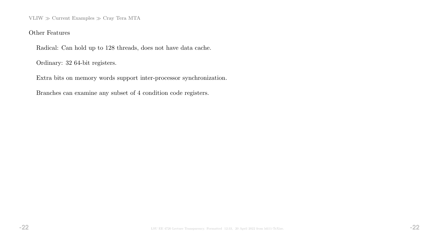VLIW  $\gg$  Current Examples  $\gg$  Cray Tera MTA

### Other Features

Radical: Can hold up to 128 threads, does not have data cache.

Ordinary: 32 64-bit registers.

Extra bits on memory words support inter-processor synchronization.

Branches can examine any subset of 4 condition code registers.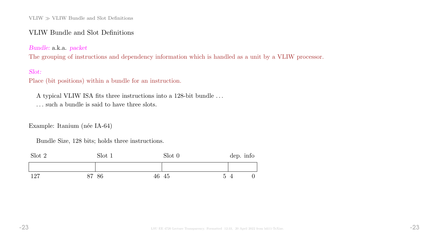### VLIW Bundle and Slot Definitions

Bundle: a.k.a. packet

The grouping of instructions and dependency information which is handled as a unit by a VLIW processor.

### Slot:

Place (bit positions) within a bundle for an instruction.

A typical VLIW ISA fits three instructions into a 128-bit bundle . . .

. . . such a bundle is said to have three slots.

Example: Itanium (née IA-64)

Bundle Size, 128 bits; holds three instructions.

| Slot 2 | Slot 1 |       | Slot 0 |                | dep. info |   |
|--------|--------|-------|--------|----------------|-----------|---|
|        |        |       |        |                |           |   |
| 127    | 87 86  | 46 45 |        | $\overline{5}$ |           | 0 |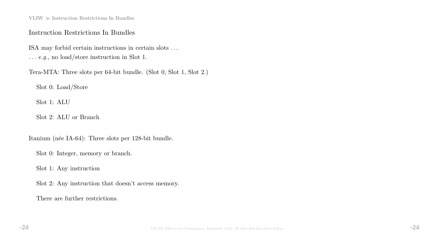$\text{VLIW} \gg \text{Instruction}$  Restrictions In Bundles

### Instruction Restrictions In Bundles

ISA may forbid certain instructions in certain slots . . . . . . e.g., no load/store instruction in Slot 1.

Tera-MTA: Three slots per 64-bit bundle. (Slot 0, Slot 1, Slot 2.)

Slot 0: Load/Store

Slot 1: ALU

Slot 2: ALU or Branch

Itanium (née IA-64): Three slots per 128-bit bundle.

Slot 0: Integer, memory or branch.

Slot 1: Any instruction

Slot 2: Any instruction that doesn't access memory.

There are further restrictions.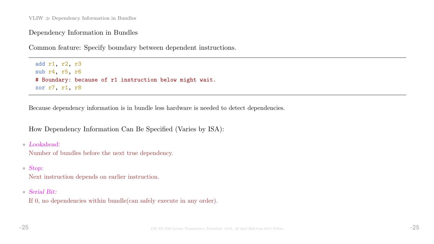## Dependency Information in Bundles

Common feature: Specify boundary between dependent instructions.

add r1, r2, r3 sub r4, r5, r6 # Boundary: because of r1 instruction below might wait. xor r7, r1, r8

Because dependency information is in bundle less hardware is needed to detect dependencies.

How Dependency Information Can Be Specified (Varies by ISA):

• Lookahead:

Number of bundles before the next true dependency.

• Stop:

Next instruction depends on earlier instruction.

• Serial Bit:

If 0, no dependencies within bundle(can safely execute in any order).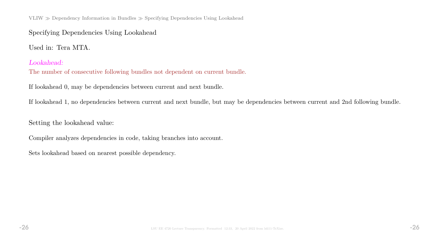VLIW Dependency Information in Bundles Specifying Dependencies Using Lookahead

## Specifying Dependencies Using Lookahead

Used in: Tera MTA.

### Lookahead:

The number of consecutive following bundles not dependent on current bundle.

If lookahead 0, may be dependencies between current and next bundle.

If lookahead 1, no dependencies between current and next bundle, but may be dependencies between current and 2nd following bundle.

Setting the lookahead value:

Compiler analyzes dependencies in code, taking branches into account.

Sets lookahead based on nearest possible dependency.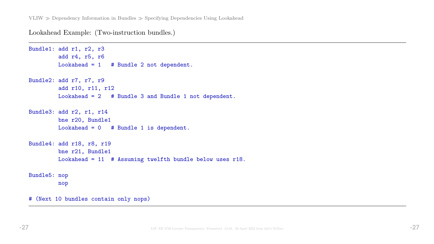Lookahead Example: (Two-instruction bundles.)

```
Bundle1: add r1, r2, r3
        add r4, r5, r6
        Lookahead = 1 # Bundle 2 not dependent.
Bundle2: add r7, r7, r9
         add r10, r11, r12
        Lookahead = 2 # Bundle 3 and Bundle 1 not dependent.
Bundle3: add r2, r1, r14
        bne r20, Bundle1
        Lookahead = 0 # Bundle 1 is dependent.
Bundle4: add r18, r8, r19
        bne r21, Bundle1
        Lookahead = 11 # Assuming twelfth bundle below uses r18.
Bundle5: nop
        nop
# (Next 10 bundles contain only nops)
```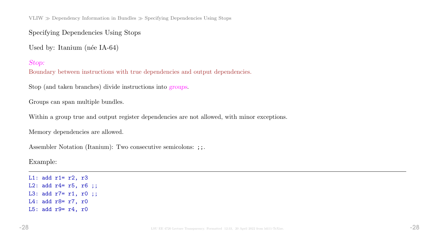VLIW  $\gg$  Dependency Information in Bundles  $\gg$  Specifying Dependencies Using Stops

Specifying Dependencies Using Stops

Used by: Itanium (née IA-64)

Stop:

Boundary between instructions with true dependencies and output dependencies.

Stop (and taken branches) divide instructions into groups.

Groups can span multiple bundles.

Within a group true and output register dependencies are not allowed, with minor exceptions.

Memory dependencies are allowed.

Assembler Notation (Itanium): Two consecutive semicolons: ;;.

Example:

L1: add  $r1 = r2$ ,  $r3$ L2: add r4= r5, r6 ;; L3: add r7= r1, r0 ;; L4: add r8= r7, r0 L5: add r9= r4, r0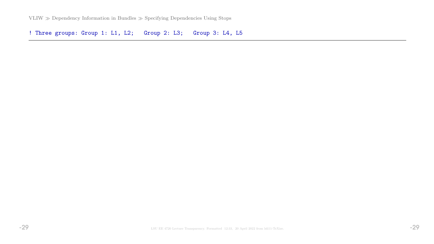VLIW  $\gg$  Dependency Information in Bundles  $\gg$  Specifying Dependencies Using Stops

! Three groups: Group 1: L1, L2; Group 2: L3; Group 3: L4, L5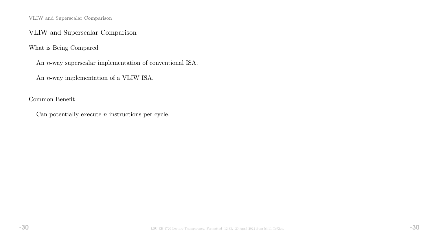VLIW and Superscalar Comparison

## VLIW and Superscalar Comparison

What is Being Compared

An n-way superscalar implementation of conventional ISA.

An n-way implementation of a VLIW ISA.

Common Benefit

Can potentially execute  $n$  instructions per cycle.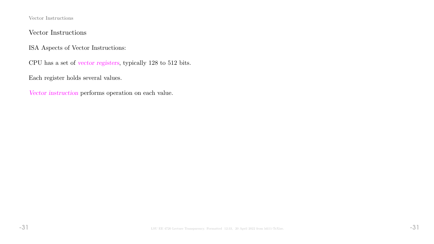Vector Instructions

## Vector Instructions

ISA Aspects of Vector Instructions:

CPU has a set of vector registers, typically 128 to 512 bits.

Each register holds several values.

Vector instruction performs operation on each value.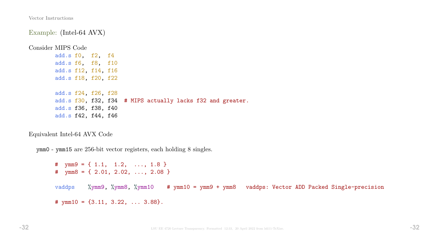Vector Instructions

Example: (Intel-64 AVX)

Consider MIPS Code

add.s f0, f2, f4 add.s f6, f8, f10 add.s f12, f14, f16 add.s f18, f20, f22

add.s f24, f26, f28 add.s f30, f32, f34 # MIPS actually lacks f32 and greater. add.s f36, f38, f40 add.s f42, f44, f46

Equivalent Intel-64 AVX Code

ymm0 - ymm15 are 256-bit vector registers, each holding 8 singles.

# ymm9 = { 1.1, 1.2, ..., 1.8 } #  $\text{ymm8} = \{ 2.01, 2.02, \ldots, 2.08 \}$ vaddps %ymm9, %ymm8, %ymm10 # ymm10 = ymm9 + ymm8 vaddps: Vector ADD Packed Single-precision #  $ymm10 = \{3.11, 3.22, \ldots 3.88\}.$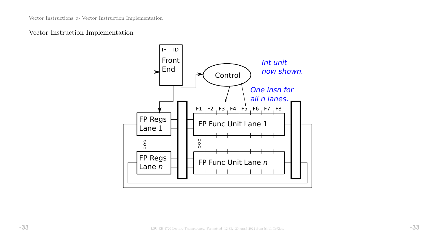## Vector Instruction Implementation

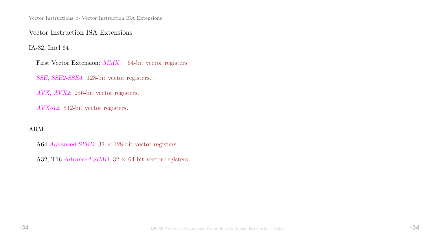Vector Instructions  $\gg$  Vector Instruction ISA Extensions

Vector Instruction ISA Extensions

IA-32, Intel 64

First Vector Extension: MMX— 64-bit vector registers.

SSE, SSE2-SSE4: 128-bit vector registers.

AVX, AVX2: 256-bit vector registers.

AVX512: 512-bit vector registers.

ARM:

A64 Advanced SIMD:  $32 \times 128$ -bit vector registers.

A32, T16 Advanced SIMD:  $32 \times 64$ -bit vector registers.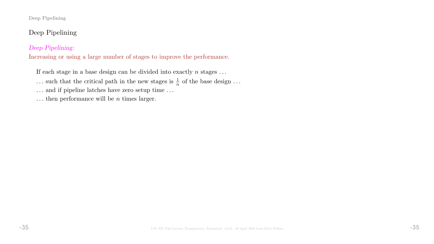#### Deep Pipelining

# Deep Pipelining

### Deep Pipelining:

Increasing or using a large number of stages to improve the performance.

If each stage in a base design can be divided into exactly  $n$  stages ...

... such that the critical path in the new stages is  $\frac{1}{n}$  of the base design ...

 $\ldots$  and if pipeline latches have zero setup time  $\ldots$ 

... then performance will be  $n$  times larger.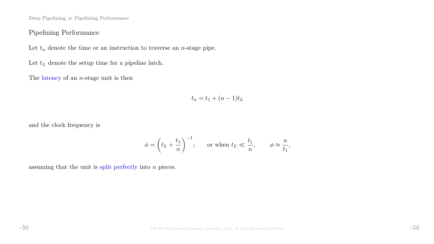Deep Pipelining  $\gg$  Pipelining Performance

## Pipelining Performance

Let  $t_n$  denote the time or an instruction to traverse an *n*-stage pipe.

Let  $t_L$  denote the setup time for a pipeline latch.

The latency of an  $n$ -stage unit is then

$$
t_n = t_1 + (n-1)t_L
$$

and the clock frequency is

$$
\phi = \left(t_L + \frac{t_1}{n}\right)^{-1}; \quad \text{or when } t_L \ll \frac{t_1}{n}, \quad \phi \approx \frac{n}{t_1},
$$

assuming that the unit is split perfectly into  $n$  pieces.